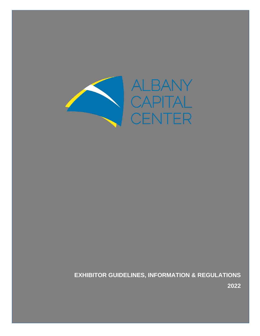

**EXHIBITOR GUIDELINES, INFORMATION & REGULATIONS**

**2022**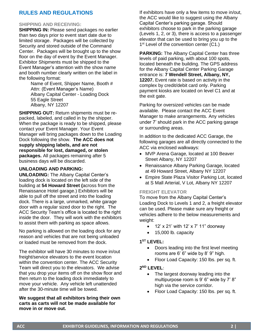# **RULES AND REGULATIONS**

### **SHIPPING AND RECEIVING:**

**SHIPPING IN: Please send packages no earlier** than two days prior to event start date due to limited storage. Packages will be collected by Security and stored outside of the Command Center. Packages will be brought up to the show floor on the day of event by the Event Manager. Exhibitor Shipments must be shipped to the Event Manager's attention with the show name and booth number clearly written on the label in the following format:

Name of Event, Shipper Name, Booth # Attn: (Event Manager's Name) Albany Capital Center - Loading Dock 55 Eagle Street Albany, NY 12207

**SHIPPING OUT:** Return shipments must be repacked, labeled, and called in by the shipper. When the package is ready to be shipped, please contact your Event Manager. Your Event Manager will bring packages down to the Loading Dock following the show. **The ACC does not supply shipping labels, and are not responsible for lost, damaged, or stolen packages.** All packages remaining after 5 business days will be discarded.

#### **UNLOADING AND PARKING:**

**UNLOADING:** The Albany Capital Center's loading dock is located on the left side of the building at **54 Howard Street (**across from the Renaissance Hotel garage.) Exhibitors will be able to pull off the street and into the loading dock. There is a large, unmarked, white garage door with a regular sized door to the right. The ACC Security Team's office is located to the right inside the door. They will work with the exhibitors to assist them with parking as space allows.

No parking is allowed on the loading dock for any reason and vehicles that are not being unloaded or loaded must be removed from the dock.

The exhibitor will have 30 minutes to move in/out freight/service elevators to the event location within the convention center. The ACC Security Team will direct you to the elevators. We advise that you drop your items off on the show floor and then return to the loading dock immediately to move your vehicle. Any vehicle left unattended after the 30-minute time will be towed.

**We suggest that all exhibitors bring their own carts as carts will not be made available for move in or move out.**

If exhibitors have only a few items to move in/out, the ACC would like to suggest using the Albany Capital Center's parking garage. Should exhibitors choose to park in the parking garage (Levels 1, 2, or 3), there is access to a passenger elevator that can be used to bring you up to the 1<sup>st</sup> Level of the convention center (C1.)

**PARKING:** The Albany Capital Center has three levels of paid parking, with about 100 spots, located beneath the building. The GPS address for the Albany Capital Center Parking Garage entrance is: **7 Wendell Street, Albany, NY, 12207.** Event rate is based on activity in the complex by credit/debit card only. Parking payment kiosks are located on level C1 and at the exit gate.

Parking for oversized vehicles can be made available. Please contact the ACC Event Manager to make arrangements. Any vehicles under 7' should park in the ACC parking garage or surrounding areas.

In addition to the dedicated ACC Garage, the following garages are all directly connected to the ACC via enclosed walkways:

- MVP Arena Garage, located at 100 Beaver Street Albany, NY 12207
- Renaissance Albany Parking Garage, located at 49 Howard Street, Albany NY 12207
- Empire State Plaza Visitor Parking Lot, located at S Mall Arterial, V Lot, Albany NY 12207

### **FREIGHT ELEVATOR**

To move from the Albany Capital Center's Loading Dock to Levels 1 and 2, a freight elevator can be used. Please make sure any freight or vehicles adhere to the below measurements and weight:

- $\bullet$  12' x 21' with 12' x 7' 11" doorway
- 15,000 lb. capacity

### **1 ST LEVEL:**

- Doors leading into the first level meeting rooms are 6' 6" wide by 8' 9" high.
- Floor Load Capacity: 150 lbs. per sq. ft.

#### **2 ND LEVEL:**

- The largest doorway leading into the multipurpose room is 9' 6" wide by 7' 8" high via the service corridor.
- Floor Load Capacity: 150 lbs. per sq. ft.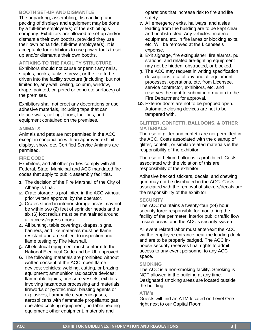### **BOOTH SET-UP AND DISMANTLE**

The unpacking, assembling, dismantling, and packing of displays and equipment may be done by a full-time employee(s) of the exhibiting's company. Exhibitors are allowed to set-up and/or dismantle their own booths, provided they use their own bona fide, full-time employee(s). It is acceptable for exhibitors to use power tools to set up and/or dismantle their own booths.

### **AFFIXING TO THE FACILITY STRUCTURE**

Exhibitors should not cause or permit any nails, staples, hooks, tacks, screws, or the like to be driven into the facility structure (including, but not limited to, any wall, ceiling, column, window, drape, painted, carpeted or concrete surfaces) of the premises.

Exhibitors shall not erect any decorations or use adhesive materials, including tape that can deface walls, ceiling, floors, facilities, and equipment contained on the premises.

#### **ANIMALS**

Animals and pets are not permitted in the ACC except in conjunction with an approved exhibit, display, show, etc. Certified Service Animals are permitted.

### **FIRE CODE**

Exhibitors, and all other parties comply with all Federal, State, Municipal and ACC mandated fire codes that apply to public assembly facilities.

- **1.** The decision of the Fire Marshall of the City of Albany is final.
- **2.** Crate storage is prohibited in the ACC without prior written approval by the operator.
- **3.** Crates stored in interior storage areas may not be within two (2) feet of sprinkler heads and a six (6) foot radius must be maintained around all access/egress doors.
- **4.** All bunting, table coverings, drapes, signs, banners, and like materials must be flame resistant and are subject to inspection and flame testing by Fire Marshall.
- **5.** All electrical equipment must conform to the National Electrical Code and be UL approved.
- **6.** The following materials are prohibited without written consent of the ACC: open flame devices; vehicles; welding, cutting, or brazing equipment; ammunition radioactive devices; flammable liquids; pressure vessels, exhibits involving hazardous processing and materials; fireworks or pyrotechnics; blasting agents or explosives; flammable cryogenic gases; aerosol cans with flammable propellants; gas operated cooking equipment; portable heating equipment; other equipment, materials and

operations that increase risk to fire and life safety.

- **7.** All emergency exits, hallways, and aisles leading from the building are to be kept clear and unobstructed. Any vehicles, material, equipment, etc. in fire lanes or blocking exits, etc. Will be removed at the Licensee's expense.
- **8.** Exit signage, fire extinguisher, fire alarms, pull stations, and related fire-fighting equipment nay not be hidden, obstructed, or blocked.
- **9.** The ACC may request in writing specification descriptions, etc. of any and all equipment, processes, operations, etc. from Licensee, service contractor, exhibitors, etc. and reserves the right to submit information to the Fire Department for approval.
- **10.** Exterior doors are not to be propped open. Automatic closing devices are not to be tampered with.

### **GLITTER, CONFETTI, BALLOONS, & OTHER MATERIALS**

The use of glitter and confetti are not permitted in the ACC. Costs associated with the cleanup of glitter, confetti, or similar/related materials is the responsibility of the exhibitor.

The use of helium balloons is prohibited. Costs associated with the violation of this are responsibility of the exhibitor.

Adhesive backed stickers, decals, and chewing gum may not be distributed in the ACC. Costs associated with the removal of stickers/decals are the responsibility of the exhibitor.

### **SECURITY**

The ACC maintains a twenty-four (24) hour security force responsible for monitoring the facility of the perimeter, interior public traffic flow in such areas, and the ACC's security system.

All event related labor must enter/exit the ACC via the employee entrance near the loading dock and are to be properly badged. The ACC inhouse security reserves final rights to admit access to any event personnel to any ACC space.

### **SMOKING**

The ACC is a non-smoking facility. Smoking is NOT allowed in the building at any time. Designated smoking areas are located outside the building.

### **ATM's**

Guests will find an ATM located on Level One right next to our Capital Room.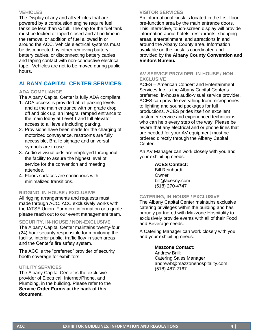#### **VEHICLES**

The Display of any and all vehicles that are powered by a combustion engine require fuel tanks be less than ¼ full. The cap for the fuel tank must be locked or taped closed and at no time in the removal or addition of fuel allowed in or around the ACC. Vehicle electrical systems must be disconnected by either removing battery, battery cables, or disconnecting battery cables and taping contact with non-conductive electrical tape. Vehicles are not to be moved during public hours.

# **ALBANY CAPITAL CENTER SERVICES**

### **ADA COMPLIANCE**

The Albany Capital Center is fully ADA compliant.

- 1. ADA access is provided at all parking levels and at the main entrance with on grade drop off and pick up, an integral ramped entrance to the main lobby at Level 1 and full elevator access to all levels including parking.
- 2. Provisions have been made for the charging of motorized conveyance, restrooms are fully accessible, Braille signage and universal symbols are in use.
- 3. Audio & visual aids are employed throughout the facility to assure the highest level of service for the convention and meeting attendee.
- 4. Floors surfaces are continuous with minimalized transitions.

### **RIGGING, IN-HOUSE / EXCLUSIVE**

All rigging arrangements and requests must made through ACC. ACC exclusively works with the IATSE Union. For more information or a quote please reach out to our event management team.

#### **SECURITY, IN-HOUSE / NON-EXCLUSIVE**

The Albany Capital Center maintains twenty-four (24) hour security responsible for monitoring the facility, interior public, traffic flow in such areas and the Center's fire safety system.

The ACC is the "preferred" provider of security booth coverage for exhibitors.

### **UTILITY SERVICES**

The Albany Capital Center is the exclusive provider of Electrical, Internet/Phone, and Plumbing, in the building. Please refer to the **Service Order Forms at the back of this document.** 

### **VISITOR SERVICES**

An informational kiosk is located in the first-floor pre-function area by the main entrance doors. This interactive, touch-screen display will provide information about hotels, restaurants, shopping areas, entertainment, and attractions in and around the Albany County area. Information available on the kiosk is coordinated and provided by the **Albany County Convention and Visitors Bureau.** 

### **AV SERVICE PROVIDER, IN-HOUSE / NON-EXCLUSIVE**

ACES – American Concert and Entertainment Services Inc. is the Albany Capital Center's preferred, in-house audio-visual service provider. ACES can provide everything from microphones to lighting and sound packages for full productions. ACES prides itself on excellent customer service and experienced technicians who can help every step of the way. Please be aware that any electrical and or phone lines that are needed for your AV equipment must be ordered directly through the Albany Capital Center.

An AV Manager can work closely with you and your exhibiting needs.

#### **ACES Contact:**

Bill Reinhardt Owner bill@acesny.com (518) 270-4747

### **CATERING, IN-HOUSE / EXCLUSIVE**

The Albany Capital Center maintains exclusive catering privileges within the building and has proudly partnered with Mazzone Hospitality to exclusively provide events with all of their Food and Beverage needs.

A Catering Manager can work closely with you and your exhibiting needs.

### **Mazzone Contact:**

Andrew Brill: Catering Sales Manager andrewb@mazzonehospitality.com (518) 487-2167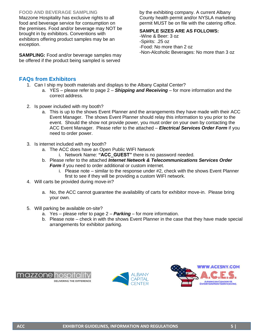### **FOOD AND BEVERAGE SAMPLING**

Mazzone Hospitality has exclusive rights to all food and beverage service for consumption on the premises. Food and/or beverage may NOT be brought in by exhibitors. Conventions with exhibitors offering product samples may be an exception.

**SAMPLING:** Food and/or beverage samples may be offered if the product being sampled is served

by the exhibiting company. A current Albany County health permit and/or NYSLA marketing permit MUST be on file with the catering office.

### **SAMPLE SIZES ARE AS FOLLOWS:**

-Wine & Beer: 3 oz -Spirits: .25 oz -Food: No more than 2 oz -Non-Alcoholic Beverages: No more than 3 oz

# **FAQs from Exhibitors**

- 1. Can I ship my booth materials and displays to the Albany Capital Center?
	- a. YES please refer to page 2 *Shipping and Receiving* for more information and the correct address.
- 2. Is power included with my booth?
	- a. This is up to the shows Event Planner and the arrangements they have made with their ACC Event Manager. The shows Event Planner should relay this information to you prior to the event. Should the show not provide power, you must order on your own by contacting the ACC Event Manager. Please refer to the attached – *Electrical Services Order Form* if you need to order power.
- 3. Is internet included with my booth?
	- a. The ACC does have an Open Public WIFI Network
		- i. Network Name: **"ACC\_GUEST"** there is no password needed.
	- b. Please refer to the attached *Internet Network & Telecommunications Services Order Form* if you need to order additional or custom internet.
		- i. Please note similar to the response under #2, check with the shows Event Planner first to see if they will be providing a custom WIFI network.
- 4. Will carts be provided during move-in?
	- a. No, the ACC cannot guarantee the availability of carts for exhibitor move-in. Please bring your own.
- 5. Will parking be available on-site?
	- a. Yes please refer to page 2 *Parking* for more information.
	- b. Please note check in with the shows Event Planner in the case that they have made special arrangements for exhibitor parking.





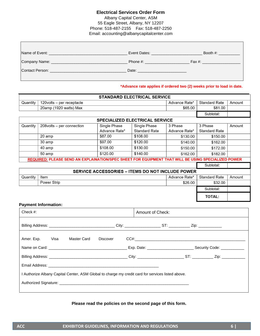### **Electrical Services Order Form**

Albany Capital Center, ASM 55 Eagle Street, Albany, NY 12207 Phone: 518-487-2155 Fax: 518-487-2250 Email: accounting@albanycapitalcenter.com

| Name of Event:  | Event Dates:           | Booth $#$ : |
|-----------------|------------------------|-------------|
| Company Name: _ | Phone #: $\sqrt{2\pi}$ | Fax #:      |
| Contact Person: | Date:                  |             |
|                 |                        |             |

**\*Advance rate applies if ordered two (2) weeks prior to load in date.**

| <b>STANDARD ELECTRICAL SERVICE</b> |                                                                                                     |               |                                                         |               |                      |        |  |
|------------------------------------|-----------------------------------------------------------------------------------------------------|---------------|---------------------------------------------------------|---------------|----------------------|--------|--|
| Quantity                           | 120volts - per receptacle                                                                           |               |                                                         | Advance Rate* | <b>Standard Rate</b> | Amount |  |
|                                    | 20amp (1920 watts) Max                                                                              |               |                                                         | \$65.00       | \$81.00              |        |  |
|                                    |                                                                                                     |               |                                                         |               | Subtotal:            |        |  |
|                                    |                                                                                                     |               | <b>SPECIALIZED ELECTRICAL SERVICE</b>                   |               |                      |        |  |
| Quantity                           | 208volts - per connection                                                                           | Single Phase  | Single Phase                                            | 3 Phase       | 3 Phase              | Amount |  |
|                                    |                                                                                                     | Advance Rate* | <b>Standard Rate</b>                                    | Advance Rate* | <b>Standard Rate</b> |        |  |
|                                    | 20 amp                                                                                              | \$87.00       | \$108.00                                                | \$130.00      | \$150.00             |        |  |
|                                    | 30 amp                                                                                              | \$97.00       | \$120.00                                                | \$140.00      | \$162.00             |        |  |
|                                    | 40 amp                                                                                              | \$108.00      | \$130.00                                                | \$150.00      | \$172.00             |        |  |
|                                    | \$120.00<br>\$140.00<br>50 amp<br>\$162.00                                                          |               |                                                         |               |                      |        |  |
|                                    | REQUIRED: PLEASE SEND AN EXPLAINATION/SPEC SHEET FOR EQUIPMENT THAT WILL BE USING SPECIALIZED POWER |               |                                                         |               |                      |        |  |
|                                    |                                                                                                     |               |                                                         |               | Subtotal:            |        |  |
|                                    |                                                                                                     |               | <b>SERVICE ACCESSORIES - ITEMS DO NOT INCLUDE POWER</b> |               |                      |        |  |
| Quantity                           | Item                                                                                                |               |                                                         | Advance Rate* | <b>Standard Rate</b> | Amount |  |
|                                    | Power Strip                                                                                         |               |                                                         | \$26.00       | \$32.00              |        |  |
|                                    |                                                                                                     |               |                                                         |               | Subtotal:            |        |  |
|                                    | <b>TOTAL:</b>                                                                                       |               |                                                         |               |                      |        |  |
|                                    | <b>Payment Information:</b>                                                                         |               |                                                         |               |                      |        |  |
| Check #:                           |                                                                                                     |               | Amount of Check:                                        |               |                      |        |  |
|                                    |                                                                                                     |               |                                                         |               |                      |        |  |

| Amer. Exp. Visa | Master Card | Discover |                                                                                                               |  |  |
|-----------------|-------------|----------|---------------------------------------------------------------------------------------------------------------|--|--|
|                 |             |          |                                                                                                               |  |  |
|                 |             |          |                                                                                                               |  |  |
|                 |             |          |                                                                                                               |  |  |
|                 |             |          | I Authorize Albany Capital Center, ASM Global to charge my credit card for services listed above.             |  |  |
|                 |             |          | Authorized Signature: Authorized Signature: Authorized Signature: Authorized Signature: Authorized Signature: |  |  |
|                 |             |          |                                                                                                               |  |  |

#### **Please read the policies on the second page of this form.**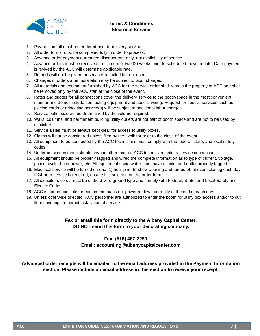

# **Terms & Conditions Electrical Service**

- 1. Payment in full must be rendered prior to delivery service.
- 2. All order forms must be completed fully in order to process.
- 3. Advance order payment guarantee discount rate only, not availability of service.
- 4. Advance orders must be received a minimum of two (2) weeks prior to scheduled move in date. Date payment is revived by the ACC will determine applicable rate.
- 5. Refunds will not be given for services installed but not used.
- 6. Changes of orders after installation may be subject to labor charges.
- 7. All materials and equipment furnished by ACC for the service order shall remain the property of ACC and shall be removed only by the ACC staff at the close of the event.
- 8. Rates and quotes for all connections cover the delivery service to the booth/space in the most convenient manner and do not include connecting equipment and special wiring. Request for special services such as placing cords or relocating service(s) will be subject to additional labor charges.
- 9. Service outlet size will be determined by the volume required.
- 10. Walls, columns, and permanent building utility outlets are not part of booth space and are not to be used by exhibitors.
- 11. Service aisles must be always kept clear for access to utility boxes.
- 12. Claims will not be considered unless filed by the exhibitor prior to the close of the event.
- 13. All equipment to be connected by the ACC technicians must comply with the federal, state, and local safety codes.
- 14. Under no circumstance should anyone other than an ACC technician make a service connection.
- 15. All equipment should be properly tagged and wired the complete information as to type of current, voltage, phase, cycle, horsepower, etc. All equipment using water must have an inlet and outlet properly tagged.
- 16. Electrical service will be turned on one (1) hour prior to show opening and turned off at event closing each day. If 24-hour service is required, ensure it is selected on the order form.
- 17. All exhibitor's cords must be of the 3-wire ground type and comply with Federal, State, and Local Safety and Electric Codes.
- 18. ACC is not responsible for equipment that is not powered down correctly at the end of each day.
- 19. Unless otherwise directed, ACC personnel are authorized to enter the booth for utility box access and/or to cut floor coverings to permit installation of service.

# **Fax or email this form directly to the Albany Capital Center. DO NOT send this form to your decorating company.**

#### **Fax: (518) 487-2250 Email: accounting@albanycapitalcenter.com**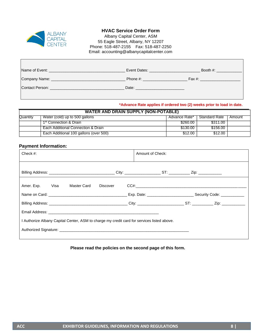

### **HVAC Service Order Form**

Albany Capital Center, ASM 55 Eagle Street, Albany, NY 12207 Phone: 518-487-2155 Fax: 518-487-2250 Email: accounting@albanycapitalcenter.com

| Name of Event:  | Event Dates: | Booth #: |
|-----------------|--------------|----------|
| Company Name:   | Phone #:     | Fax #:   |
| Contact Person: | Date:        |          |
|                 |              |          |

**\*Advance Rate applies if ordered two (2) weeks prior to load in date.** 

|          | <b>WATER AND DRAIN SUPPLY (NON-POTABLE)</b>                                       |          |          |  |  |  |  |  |
|----------|-----------------------------------------------------------------------------------|----------|----------|--|--|--|--|--|
| Quantity | Water (cold) up to 500 gallons<br>Advance Rate*<br><b>Standard Rate</b><br>Amount |          |          |  |  |  |  |  |
|          | 1 <sup>st</sup> Connection & Drain                                                | \$260.00 | \$311.00 |  |  |  |  |  |
|          | Each Additional Connection & Drain                                                | \$130.00 | \$156.00 |  |  |  |  |  |
|          | Each Additional 100 gallons (over 500)                                            | \$12.00  | \$12.00  |  |  |  |  |  |

### **Payment Information:**

| Check $#$ :                                                                                | Amount of Check: |  |
|--------------------------------------------------------------------------------------------|------------------|--|
|                                                                                            |                  |  |
| Amer. Exp. Visa Master Card Discover                                                       |                  |  |
|                                                                                            |                  |  |
|                                                                                            |                  |  |
|                                                                                            |                  |  |
| I Authorize Albany Capital Center, ASM to charge my credit card for services listed above. |                  |  |
|                                                                                            |                  |  |
|                                                                                            |                  |  |

**Please read the policies on the second page of this form.**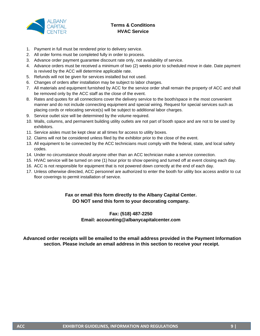

# **Terms & Conditions HVAC Service**

- 1. Payment in full must be rendered prior to delivery service.
- 2. All order forms must be completed fully in order to process.
- 3. Advance order payment guarantee discount rate only, not availability of service.
- 4. Advance orders must be received a minimum of two (2) weeks prior to scheduled move in date. Date payment is revived by the ACC will determine applicable rate.
- 5. Refunds will not be given for services installed but not used.
- 6. Changes of orders after installation may be subject to labor charges.
- 7. All materials and equipment furnished by ACC for the service order shall remain the property of ACC and shall be removed only by the ACC staff as the close of the event.
- 8. Rates and quotes for all connections cover the delivery service to the booth/space in the most convenient manner and do not include connecting equipment and special wiring. Request for special services such as placing cords or relocating service(s) will be subject to additional labor charges.
- 9. Service outlet size will be determined by the volume required.
- 10. Walls, columns, and permanent building utility outlets are not part of booth space and are not to be used by exhibitors.
- 11. Service aisles must be kept clear at all times for access to utility boxes.
- 12. Claims will not be considered unless filed by the exhibitor prior to the close of the event.
- 13. All equipment to be connected by the ACC technicians must comply with the federal, state, and local safety codes.
- 14. Under no circumstance should anyone other than an ACC technician make a service connection.
- 15. HVAC service will be turned on one (1) hour prior to show opening and turned off at event closing each day.
- 16. ACC is not responsible for equipment that is not powered down correctly at the end of each day.
- 17. Unless otherwise directed, ACC personnel are authorized to enter the booth for utility box access and/or to cut floor coverings to permit installation of service.

### **Fax or email this form directly to the Albany Capital Center. DO NOT send this form to your decorating company.**

### **Fax: (518) 487-2250 Email: accounting@albanycapitalcenter.com**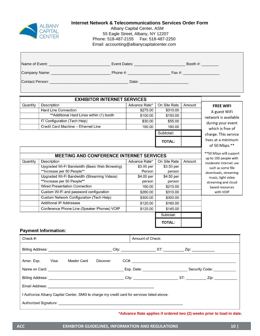

### **Internet Network & Telecommunications Services Order Form**

Albany Capital Center, ASM 55 Eagle Street, Albany, NY 12207 Phone: 518-487-2155 Fax: 518-487-2250 Email: accounting@albanycapitalcenter.com

|          |                                          |                                    |              |                            | Booth #: $\frac{1}{2}$ |
|----------|------------------------------------------|------------------------------------|--------------|----------------------------|------------------------|
|          |                                          | Phone #: _________________________ |              | Fax #: ___________________ |                        |
|          |                                          |                                    |              |                            |                        |
|          | <b>EXHIBITOR INTERNET SERVICES</b>       |                                    |              |                            |                        |
| Quantity | Description                              | Advance Rate*                      | On Site Rate | Amount                     | <b>FREE WIFI</b>       |
|          | <b>Hard Line Connection</b>              | \$275.00                           | \$310.00     |                            | A guest WiFi           |
|          | **Additional Hard Lines within (1) hooth | \$100.00                           | \$150.00     |                            |                        |

|          | Additional Hard Lines Within (1) booth          | <b>DU.UU</b>  | <b>DU.UG</b>  |        | network is available                            |
|----------|-------------------------------------------------|---------------|---------------|--------|-------------------------------------------------|
|          | IT Configuration (Tech Help)                    | \$30.00       | \$55.00       |        | during your event                               |
|          | Credit Card Machine - Ethernet Line             | 160.00        | 180.00        |        | which is free of                                |
|          |                                                 |               | Subtotal:     |        | charge. This service                            |
|          |                                                 |               | <b>TOTAL:</b> |        | lives at a minimum<br>of 50 Mbps.**             |
|          | <b>MEETING AND CONFERENCE INTERNET SERVICES</b> |               |               |        | **50 Mbps will support<br>up to 100 people with |
| Quantity | Description                                     | Advance Rate* | On Site Rate  | Amount | moderate Internet use                           |
|          | Upgraded Wi-Fi Bandwidth (Basic Web Browsing)   | \$3.00 per    | \$3.50 per    |        | such as some file                               |
|          | **Increase per 50 People**                      | Person        | person        |        | downloads, streaming                            |
|          | Upgraded Wi-Fi Bandwidth (Streaming Videos)     | \$4.00 per    | \$4.50 per    |        | music, light video                              |
|          | **Increase per 50 People**                      | person        | person        |        | streaming and cloud                             |
|          | <b>Wired Presentation Connection</b>            | 160.00        | \$210.00      |        | based resources                                 |
|          | Custom Wi-Fi and password configuration         | \$260.00      | \$310.00      |        | with VOIP                                       |
|          | Custom Network Configuration (Tech Help)        | \$300.00      | \$300.00      |        |                                                 |
|          | <b>Additional IP Addresses</b>                  | \$120.00      | \$160.00      |        |                                                 |
|          | Conference Phone Line (Speaker Phones) VOIP     | \$125.00      | \$145.00      |        |                                                 |
|          |                                                 |               | Subtotal:     |        |                                                 |
|          |                                                 |               | <b>TOTAL:</b> |        |                                                 |

#### **Payment Information:**

| Check $#$ :                                                                                                                                                                                                                          | Amount of Check: |                                                                                  |
|--------------------------------------------------------------------------------------------------------------------------------------------------------------------------------------------------------------------------------------|------------------|----------------------------------------------------------------------------------|
|                                                                                                                                                                                                                                      |                  |                                                                                  |
| Amer. Exp. Visa Master Card Discover                                                                                                                                                                                                 | CCE:             |                                                                                  |
| Name on Card: <u>contract and contract and contract and contract and contract of the contract of the contract of the contract of the contract of the contract of the contract of the contract of the contract of the contract of</u> |                  | Exp. Date: __________________________________Security Code: ____________________ |
|                                                                                                                                                                                                                                      |                  |                                                                                  |
|                                                                                                                                                                                                                                      |                  |                                                                                  |
| I Authorize Albany Capital Center, SMG to charge my credit card for services listed above.                                                                                                                                           |                  |                                                                                  |
| Authorized Signature: Authorized Signature:                                                                                                                                                                                          |                  |                                                                                  |

**\*Advance Rate applies if ordered two (2) weeks prior to load in date.**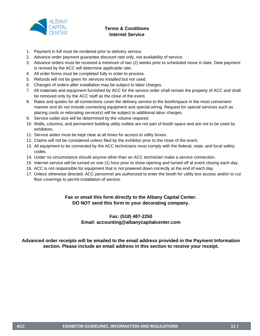

### **Terms & Conditions Internet Service**

- 1. Payment in full must be rendered prior to delivery service.
- 2. Advance order payment guarantee discount rate only, not availability of service.
- 3. Advance orders must be received a minimum of two (2) weeks prior to scheduled move in date. Date payment is revived by the ACC will determine applicable rate.
- 4. All order forms must be completed fully in order to process.
- 5. Refunds will not be given for services installed but not used.
- 6. Changes of orders after installation may be subject to labor charges.
- 7. All materials and equipment furnished by ACC for the service order shall remain the property of ACC and shall be removed only by the ACC staff as the close of the event.
- 8. Rates and quotes for all connections cover the delivery service to the booth/space in the most convenient manner and do not include connecting equipment and special wiring. Request for special services such as placing cords or relocating service(s) will be subject to additional labor charges.
- 9. Service outlet size will be determined by the volume required.
- 10. Walls, columns, and permanent building utility outlets are not part of booth space and are not to be used by exhibitors.
- 11. Service aisles must be kept clear at all times for access to utility boxes.
- 12. Claims will not be considered unless filed by the exhibitor prior to the close of the event.
- 13. All equipment to be connected by the ACC technicians must comply with the federal, state, and local safety codes.
- 14. Under no circumstance should anyone other than an ACC technician make a service connection.
- 15. Internet service will be turned on one (1) hour prior to show opening and turned off at event closing each day.
- 16. ACC is not responsible for equipment that is not powered down correctly at the end of each day.
- 17. Unless otherwise directed, ACC personnel are authorized to enter the booth for utility box access and/or to cut floor coverings to permit installation of service.

### **Fax or email this form directly to the Albany Capital Center. DO NOT send this form to your decorating company.**

### **Fax: (518) 487-2250 Email: accounting@albanycapitalcenter.com**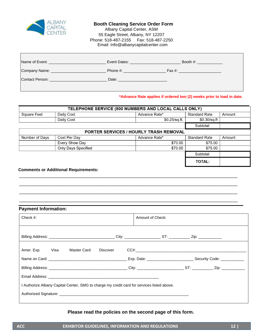

#### **Booth Cleaning Service Order Form**

 Albany Capital Center, ASM 55 Eagle Street, Albany, NY 12207 Phone: 518-487-2155 Fax: 518-487-2250 Email: Info@albanycapitalcenter.com

| Name of Event:  | Event Dates: | Booth #: |
|-----------------|--------------|----------|
| Company Name:   | Phone #:     | Fax #:   |
| Contact Person: | Date:        |          |
|                 |              |          |

#### **\*Advance Rate applies if ordered two (2) weeks prior to load in date.**

| TELEPHONE SERVICE (800 NUMBERS AND LOCAL CALLS ONLY) |                                        |                 |                      |        |  |  |  |
|------------------------------------------------------|----------------------------------------|-----------------|----------------------|--------|--|--|--|
| <b>Square Feet</b>                                   | Daily Cost                             | Advance Rate*   | <b>Standard Rate</b> | Amount |  |  |  |
|                                                      | Daily Cost                             | $$0.25$ /sq.ft. | \$0.30/sq.ft         |        |  |  |  |
|                                                      |                                        |                 | Subtotal:            |        |  |  |  |
|                                                      | PORTER SERVICES / HOURLY TRASH REMOVAL |                 |                      |        |  |  |  |
| Number of Days                                       | Cost Per Day                           | Advance Rate*   | <b>Standard Rate</b> | Amount |  |  |  |
|                                                      | Every Show Day                         | \$70.00         | \$75.00              |        |  |  |  |
|                                                      | <b>Only Days Specified</b>             | \$70.00         | \$75.00              |        |  |  |  |
|                                                      |                                        |                 | Subtotal:            |        |  |  |  |
|                                                      |                                        |                 | <b>TOTAL:</b>        |        |  |  |  |

\_\_\_\_\_\_\_\_\_\_\_\_\_\_\_\_\_\_\_\_\_\_\_\_\_\_\_\_\_\_\_\_\_\_\_\_\_\_\_\_\_\_\_\_\_\_\_\_\_\_\_\_\_\_\_\_\_\_\_\_\_\_\_\_\_\_\_\_\_\_\_\_\_\_\_\_\_\_\_\_\_\_\_\_ \_\_\_\_\_\_\_\_\_\_\_\_\_\_\_\_\_\_\_\_\_\_\_\_\_\_\_\_\_\_\_\_\_\_\_\_\_\_\_\_\_\_\_\_\_\_\_\_\_\_\_\_\_\_\_\_\_\_\_\_\_\_\_\_\_\_\_\_\_\_\_\_\_\_\_\_\_\_\_\_\_\_\_\_ \_\_\_\_\_\_\_\_\_\_\_\_\_\_\_\_\_\_\_\_\_\_\_\_\_\_\_\_\_\_\_\_\_\_\_\_\_\_\_\_\_\_\_\_\_\_\_\_\_\_\_\_\_\_\_\_\_\_\_\_\_\_\_\_\_\_\_\_\_\_\_\_\_\_\_\_\_\_\_\_\_\_\_\_ \_\_\_\_\_\_\_\_\_\_\_\_\_\_\_\_\_\_\_\_\_\_\_\_\_\_\_\_\_\_\_\_\_\_\_\_\_\_\_\_\_\_\_\_\_\_\_\_\_\_\_\_\_\_\_\_\_\_\_\_\_\_\_\_\_\_\_\_\_\_\_\_\_\_\_\_\_\_\_\_\_\_\_\_

#### **Comments or Additional Requirements:**

### **Payment Information:**

| Amer. Exp. Visa Master Card                                                                                                                                                                                                   | Discover |  |  |
|-------------------------------------------------------------------------------------------------------------------------------------------------------------------------------------------------------------------------------|----------|--|--|
| Name on Card: Carrier Content Content Content Content Content Content Content Content Content Content Content Content Content Content Content Content Content Content Content Content Content Content Content Content Content |          |  |  |
|                                                                                                                                                                                                                               |          |  |  |
|                                                                                                                                                                                                                               |          |  |  |
| I Authorize Albany Capital Center, SMG to charge my credit card for services listed above.                                                                                                                                    |          |  |  |
|                                                                                                                                                                                                                               |          |  |  |

### **Please read the policies on the second page of this form.**